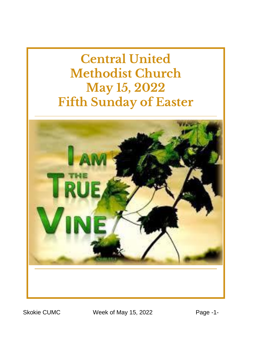**Central United Methodist Church May 15, 2022 Fifth Sunday of Easter**



Skokie CUMC Week of May 15, 2022 Page -1-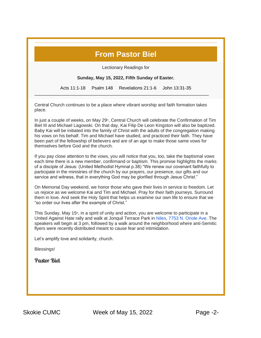#### **From Pastor Biel**

Lectionary Readings for

**Sunday, May 15, 2022, Fifth Sunday of Easter.**

Acts 11:1-18 Psalm 148 Revelations 21:1-6 John 13:31-35

Central Church continues to be a place where vibrant worship and faith formation takes place.

\_\_\_\_\_\_\_\_\_\_\_\_\_\_\_\_\_\_\_\_\_\_\_\_\_\_\_\_\_\_\_\_\_\_\_\_\_\_\_\_\_\_\_\_\_\_\_\_\_\_\_\_\_\_\_\_\_\_\_\_\_\_\_\_\_\_\_\_\_\_

In just a couple of weeks, on May  $29<sup>th</sup>$ , Central Church will celebrate the Confirmation of Tim Biel III and Michael Lagowski. On that day, Kai Filip De Leon Kingston will also be baptized. Baby Kai will be initiated into the family of Christ with the adults of the congregation making his vows on his behalf. Tim and Michael have studied, and practiced their faith. They have been part of the fellowship of believers and are of an age to make those same vows for themselves before God and the church.

If you pay close attention to the vows, you will notice that you, too, take the baptismal vows each time there is a new member, confirmand or baptism. This promise highlights the marks of a disciple of Jesus: (United Methodist Hymnal p.38) "We renew our covenant faithfully to participate in the ministries of the church by our prayers, our presence, our gifts and our service and witness, that in everything God may be glorified through Jesus Christ."

On Memorial Day weekend, we honor those who gave their lives in service to freedom. Let us rejoice as we welcome Kai and Tim and Michael. Pray for their faith journeys. Surround them in love. And seek the Holy Spirit that helps us examine our own life to ensure that we "so order our lives after the example of Christ."

This Sunday, May 15<sup>th</sup>, in a spirit of unity and action, you are welcome to participate in a United Against Hate rally and walk at Jonquil Terrace Park in [Niles, 7753 N. Oriole Ave.](https://www.google.com/maps/search/Niles,+7753+N.+Oriole+Ave?entry=gmail&source=g) The speakers will begin at 3 pm, followed by a walk around the neighborhood where anti-Semitic flyers were recently distributed meant to cause fear and intimidation.

Let's amplify love and solidarity, church.

Blessings!

Pastor Biel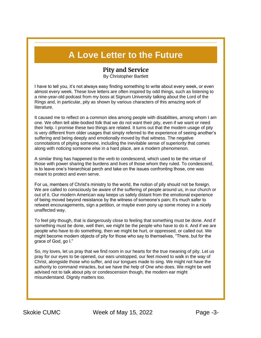### **A Love Letter to the Future**

#### **Pity and Service**

By Christopher Bartlett

I have to tell you, it's not always easy finding something to write about every week, or even almost every week. These love letters are often inspired by odd things, such as listening to a nine-year-old podcast from my boss at Signum University talking about the Lord of the Rings and, in particular, pity as shown by various characters of this amazing work of literature.

It caused me to reflect on a common idea among people with disabilities, among whom I am one. We often tell able-bodied folk that we do not want their pity, even if we want or need their help. I promise these two things are related. It turns out that the modern usage of pity is very different from older usages that simply referred to the experience of seeing another's suffering and being deeply and emotionally moved by that witness. The negative connotations of pitying someone, including the inevitable sense of superiority that comes along with noticing someone else in a hard place, are a modern phenomenon.

A similar thing has happened to the verb to condescend, which used to be the virtue of those with power sharing the burdens and lives of those whom they ruled. To condescend, is to leave one's hierarchical perch and take on the issues confronting those, one was meant to protect and even serve.

For us, members of Christ's ministry to the world, the notion of pity should not be foreign. We are called to consciously be aware of the suffering of people around us, in our church or out of it. Our modern American way keeps us safely distant from the emotional experience of being moved beyond resistance by the witness of someone's pain; it's much safer to retweet encouragements, sign a petition, or maybe even pony up some money in a nicely unaffected way.

To feel pity though, that is dangerously close to feeling that something must be done. And if something must be done, well then, we might be the people who have to do it. And if we are people who have to do something, then we might be hurt, or oppressed, or called out. We might become modern objects of pity for those who say to themselves, "There, but for the grace of God, go I."

So, my loves, let us pray that we find room in our hearts for the true meaning of pity. Let us pray for our eyes to be opened, our ears unstopped, our feet moved to walk in the way of Christ, alongside those who suffer, and our tongues made to sing. We might not have the authority to command miracles, but we have the help of One who does. We might be well advised not to talk about pity or condescension though, the modern ear might misunderstand. Dignity matters too.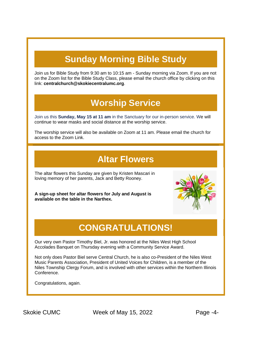# **Sunday Morning Bible Study**

Join us for Bible Study from 9:30 am to 10:15 am - Sunday morning via Zoom. If you are not on the Zoom list for the Bible Study Class, please email the church office by clicking on this link: **[centralchurch@skokiecentralumc.org](mailto:centralchurch@skokiecentralumc.org)**.

# **Worship Service**

Join us this **Sunday, May 15 at 11 am** in the Sanctuary for our in-person service. We will continue to wear masks and social distance at the worship service.

The worship service will also be available on Zoom at 11 am. Please email the church for access to the Zoom Link.

### **Altar Flowers**

The altar flowers this Sunday are given by Kristen Mascari in loving memory of her parents, Jack and Betty Rooney.

**A sign-up sheet for altar flowers for July and August is available on the table in the Narthex.**



# **CONGRATULATIONS!**

Our very own Pastor Timothy Biel, Jr. was honored at the Niles West High School Accolades Banquet on Thursday evening with a Community Service Award.

Not only does Pastor Biel serve Central Church, he is also co-President of the Niles West Music Parents Association, President of United Voices for Children, is a member of the Niles Township Clergy Forum, and is involved with other services within the Northern Illinois Conference.

Congratulations, again.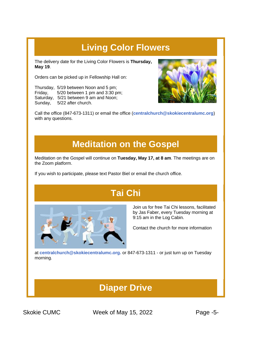# **Living Color Flowers**

The delivery date for the Living Color Flowers is **Thursday, May 19**.

Orders can be picked up in Fellowship Hall on:

Thursday, 5/19 between Noon and 5 pm; Friday, 5/20 between 1 pm and 3:30 pm; Saturday, 5/21 between 9 am and Noon; Sunday, 5/22 after church.



Call the office (847-673-1311) or email the office (**[centralchurch@skokiecentralumc.org](mailto:centralchurch@skokiecentralumc.org)**) with any questions.

### **Meditation on the Gospel**

Meditation on the Gospel will continue on **Tuesday, May 17, at 8 am**. The meetings are on the Zoom platform.

If you wish to participate, please text Pastor Biel or email the church office.

# **Tai Chi**



Join us for free Tai Chi lessons, facilitated by Jas Faber, every Tuesday morning at 9:15 am in the Log Cabin.

Contact the church for more information

at **[centralchurch@skokiecentralumc.org.](mailto:centralchurch@skokiecentralumc.org)** or 847-673-1311 - or just turn up on Tuesday morning.

# **Diaper Drive**

Skokie CUMC **Week of May 15, 2022** Page -5-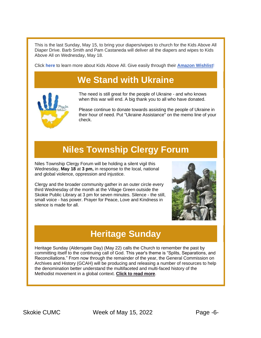This is the last Sunday, May 15, to bring your diapers/wipes to church for the Kids Above All Diaper Drive. Barb Smith and Pam Castaneda will deliver all the diapers and wipes to Kids Above All on Wednesday, May 18.

Click **[here](https://r20.rs6.net/tn.jsp?f=001qgE8R-0rBclVHIkAUpoZ5C0BvVK_kzmNy1064t6a3XonwwN6COjQyzxcQXxJwmPqXDhxAju8wOBWhUF-gma8JG2v2EzO1A8DzhvtTjlMlRjLfR5nzLiPqN30qMODGJynLhWX0AaxCG5S9j2Z5LvfQa9cEX-WzHp3Qfb93m6piGE=&c=vrIqrezAcAYWUwuVWOEkcVrHWvcN8vnGHRxN9fLUNmVcDNqhgf_tKA==&ch=hfGIDPzS7TOQWFdOPUFymqO3NUcmF99VjRIHWaAQ7BeYkao-_ZegKw==)** to learn more about Kids Above All. Give easily through their **[Amazon Wishlist](https://r20.rs6.net/tn.jsp?f=001qgE8R-0rBclVHIkAUpoZ5C0BvVK_kzmNy1064t6a3XonwwN6COjQyzxcQXxJwmPqFIO7mOF1a3_ge8qSvdHLxRdPnTVUFgYHMQEG7mam2mt-FSj-ptctewZ0P8LMCqeE7oH7guzqN2gJa8CWXb2SL8lXq78t_sa3A_67k-9J9Q6F7s_RO74WAkDSnB7P6UNtg_fAkEVBnufmYzivKGY1C_iA6QN8xOq0ntRmj0FEC9_SvL2yMVQeZH9eVNINlQ0KZUOHujjLA_eHuUMHgytz854wmaG_AsaJIsGMr60Q3cC4YK6F7scqZkM66XaNx5_enyXZlT4g0uYvCs5tyCqptEglX7H-JC8g92UEak8yJBPEP2yWoRJhoyQ3b7H13-n60wKz6gbsGvRJc1nfyIQaOh8T2jdYYkZjGPo48GYxlrybpDrtS64t1dyNTYwdFVbQhZn5IMdGSoyDSNg47WTrpkX3m05AMRP1CDbTbLHMFFCcbpCKAOvyf1Qt_3-2fY8_uySmvsHvppiN76eJPft-FKM_kPRQ-5m0E_wn-nLAylpIR_N-2tLIWJE1gSrUUGCRFWXwguTWQDlGoXR1uAYnvRGDOsyE2DTTe3wtfgbVgnrZmGWxOef8OOzJvDk_j6NjzHEyt74ATwYQJkJlTWHJjmEhBwZX_2r1EbkduicqnNayM4g91m8Li_z3nGJZmEuGolb4TAO9veeddoBWa6MYTYNkezN-CfmT5A19UybkWRgvJCLZaMmQxfcDpy9kI3KUiHp11EKFoTeIr7Hz5KryQvZgnneb0kYkkNJ2mMNsu1EwS-mc3_KEbg==&c=vrIqrezAcAYWUwuVWOEkcVrHWvcN8vnGHRxN9fLUNmVcDNqhgf_tKA==&ch=hfGIDPzS7TOQWFdOPUFymqO3NUcmF99VjRIHWaAQ7BeYkao-_ZegKw==)**!

# **We Stand with Ukraine**



The need is still great for the people of Ukraine - and who knows when this war will end. A big thank you to all who have donated.

Please continue to donate towards assisting the people of Ukraine in their hour of need. Put "Ukraine Assistance" on the memo line of your check.

# **Niles Township Clergy Forum**

Niles Township Clergy Forum will be holding a silent vigil this Wednesday, **May 18** at **3 pm,** in response to the local, national and global violence, oppression and injustice.

Clergy and the broader community gather in an outer circle every third Wednesday of the month at the Village Green outside the Skokie Public Library at 3 pm for seven minutes. Silence - the still, small voice - has power. Prayer for Peace, Love and Kindness in silence is made for all.



## **Heritage Sunday**

Heritage Sunday (Aldersgate Day) (May 22) calls the Church to remember the past by committing itself to the continuing call of God. This year's theme is "Splits, Separations, and Reconciliations." From now through the remainder of the year, the General Commission on Archives and History (GCAH) will be producing and releasing a number of resources to help the denomination better understand the multifaceted and multi-faced history of the Methodist movement in a global context. **[Click to read more](https://r20.rs6.net/tn.jsp?f=001qgE8R-0rBclVHIkAUpoZ5C0BvVK_kzmNy1064t6a3XonwwN6COjQy2ASxBN811YJ9MxvK7Y8akzG3zvY2umvE-uHG0KFJaLHJ7GEm62eNB-abQqPpQCZQh2r0MIPe8d3alvG9_95B6gj8W3CBonIPFb8f2b1RRG90nhCFR8fspYybZ22ER3rY8FxSKRCVkr0bH77dIl3enz-dfNXHaY-tD8z6P2FMPoH7qdYqzNxMJrCJqrlwnCEkL-qVQe9ESOLXQiig2xrsSuFsVIh1kH9DnYLi_Dy7qwI4vVJiH3b7_OJVIFIHOoauPIJmAiL4dM5Oc4PhRuNTKVmWjI_lRJosuDRsixo4AwiNNORKX8E3aFKJt-AyyoHO2TMjJynJCEZsxXalt9koqi60DHGP8mPNcE1aOrONxGjA58lw2NUW1u6ZDUJc0JM4rlA0CQ2OyfmW_TX98j99QKWVbYnuw5bEfNiObRkBEaoUklVRFNG7xJBvy7UUlJR1FEED_SHYVf80jKBaZJuPUxOFjWaAA_QnfuUmT-u2hu3i3ATX1Nq7mdFRBKti-YIcfmNiFxlZ5nnnwj3Wev0lDB2TooTBDm7SqH9ejqzZy6EHDenbI9OesY6NvnFmk9X23fitgp3yA69y8CYHey1GeWsaLrMctXOR9Rvo-j3G43iyJMGjLa45SejVnCwX1bRY2XPfZltD5WNRE_29Pf0WEtFZJ-GNnr9VTlgsq6ZLDmFAfO5Zt8MjPCk3iPCAxSo1StaV4Iei1UzMWlCemO8ZL8RvShwJZvI-jNwSL6lAMAQFj-fwwR0In7ss9FkSEhD9FDC2wYhInmnjjNelypenQT4Vo-Lu2vqs6F77o1oCAyetOjskDFkVtTx4CZ3SlP23yHhE_sWVPRu1SPpvJOzwlMbJWZNvTLIolh_viKWk6MmJO6xd6ZJEUdc7NXdXH0fbMSA_h124ZusSAlJcqQCSQJeLf4MPWU1aCqsta9iRwFwq5FZRZdZOcO3Pp920BvtABVIALQLOTzlaBVhhiYg2RQUNjMnPgZZNMiwW_uHmGQ1mfH-BR7Po-v-JKsXnqqYyQyOej8kQ897tiGKe-x2KfV7Xn0pMo_zvWqMFYs7IV2KaF_VHenXTCDYE2s1pD2q1cWGj56ckO62-dTu5UO-rDXneOcBwTatkA==&c=vrIqrezAcAYWUwuVWOEkcVrHWvcN8vnGHRxN9fLUNmVcDNqhgf_tKA==&ch=hfGIDPzS7TOQWFdOPUFymqO3NUcmF99VjRIHWaAQ7BeYkao-_ZegKw==)**.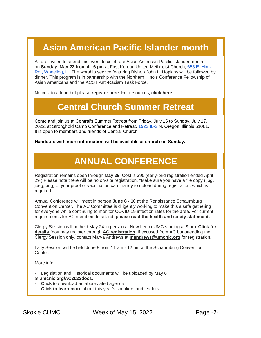# **Asian American Pacific Islander month**

All are invited to attend this event to celebrate Asian American Pacific Islander month on **Sunday, May 22 from 4 - 6 pm** at First Korean United Methodist Church, [655 E. Hintz](https://www.google.com/maps/search/655+E.+Hintz+Rd.,+Wheeling,+IL?entry=gmail&source=g)  [Rd., Wheeling, IL.](https://www.google.com/maps/search/655+E.+Hintz+Rd.,+Wheeling,+IL?entry=gmail&source=g) The worship service featuring Bishop John L. Hopkins will be followed by dinner. This program is in partnership with the Northern Illinois Conference Fellowship of Asian Americans and the ACST Anti-Racism Task Force.

No cost to attend but please **[register here](https://r20.rs6.net/tn.jsp?f=001qgE8R-0rBclVHIkAUpoZ5C0BvVK_kzmNy1064t6a3XonwwN6COjQy2ASxBN811YJbzc-kdLOk8JsDHEddsApGdjibad0vbwf8IvO72J7h-Waw8LDdE4DKYaVlye0sLAelzgPiutWvZKPdtOJrEiM9RjI68R5iUy0JF5OTa8x7QuYbvzrQudxLOKGOldULU6G14h7ffHFg1SJCPHUMQqu_dPDXaqnH7YnE80SLNyje_GDlHm4IYVURElxx3ViF6dBuTgzi37UxkI8-XtYvzAa_NFzh_Q7jKk7JI9g_R0-TFZ-XmUgwZ0fqp854R6PZTOEZ2q0-N37oGUudql0Wl1l8HwuS7kKWgSFKeKrGRVNXnt4TQRqE2fvvNaybaE2vufNa435pEfSHg9_zKxD8o2t1ksOHflHgpG6ZR1_3MV-gcQ-JcnYV9u9U31d0hShrimzis8xwYgMS1lSmEolMYgP-WRe2E_0T10caNWSc_w_8H9Pd9LUn0aUp-mfC1PHruoI4Diu_DuqHThypPFMwLRTpobWpCqrSMjQzx4nXJao_OqQ_LOlF1EPuVEcJ7TUkB8BqjUwdRs_Qn6F8PfrpsMMmsDGGEhsRxYLMpVfDQr69NTv6vQSd8neC3ZUx3P2kvX_j5J_mD_FwDrY-giBYCBGYO1gWC5BimPrweyZILlarRTGDdY-8TEN7oZQvNl4tb0YP7u-VytdjcY_NP0-kinwa365EdRP1hpvMbF_bTOiPD-jrlXfCNPnTY-WZ3DyFatEcWmdUacGaJdgfsom6gMNyCBXGtgiGbyc_4oO9YhmyQ-TYWUChAZzhc7VOVlL5R4ZtMyycxt4f7B3UEqEOw_PHzxWByMMz5iz9bhccZ2MjJlg8o9zIC8lgOlPYihMmXfAUj0jGPtRtt_D0SK0Y384BGXOEuC0aei0CXZXJEkdv8ZCIsL517z08vbCg4x5v4FxSbOXDT48x4ZITvtEI65U021hVFroo-X-lHCy9JDvQES-BIqKM9-l6RT3HDGVkSWsyYymuDWj-Qo9C2vVBhFy7f17e77qTc6VQuxKhUVZvWq2rnaMWA10e4FPIS2dxTMGtwzByLPMxIDlAbAS9o8vAv6SfEbbPkTNNqOarIwLwYOQY0FvNEY8s7sJzGVEbnO4J01chUJokSm8rioA8d16voh9aW5xjbDOI1ZxxD0erJW6aI_HYPLjS37tk1JIZAsx&c=vrIqrezAcAYWUwuVWOEkcVrHWvcN8vnGHRxN9fLUNmVcDNqhgf_tKA==&ch=hfGIDPzS7TOQWFdOPUFymqO3NUcmF99VjRIHWaAQ7BeYkao-_ZegKw==)**. For resources, **[click here.](https://r20.rs6.net/tn.jsp?f=001qgE8R-0rBclVHIkAUpoZ5C0BvVK_kzmNy1064t6a3XonwwN6COjQy2ASxBN811YJnTBZ6vI_tdPvQDQ50KLYVF8Ia46LxQHcj9w16-f-LBmxxlNo8aDRyZyyCr_YW5MaFIecyhhPWtvtHGx7Zq1HGXcLKgjCqUZJzapyu52hqqRS6Bt3lkrJVwS706R8nfaKMEatqs3XtcL_4XlvB5csx3nH22l2phEB5vPqloypEI2wVXsX1T9saInVJAeQMeLQ5uirDZf6TqVcO0pPM6zJbdYiHIfUyL9_6r2QfMNXzQIFtA_wkx4E79VV2f6l7fs7O-ttKlSQ6mZYHuNENGTVnRToN_ZMLT5Qo49DAMaSdfGKtmG0danloxVixut8fDycWnFinv_CuymMELO-fhtwu-_pTr_IGlY1OnTqRDxM_BaSQmTOLHXeYArQ2ivFxpCDv9042ectFDBZLs01oIeJon8E0BrGQfQ4o_otABIiqKQLFBZQ1_JoVIc8YIo6SGX-h5NJWKIeknx3l6PyGsfWMLYVgPlET8R4Ys1uS90aPiJ1tzDD99JahTJG8JE_R2H9Hb5HarQjB5nG8jYxJAQjpUTQNMUvqhtLsb-qoZs8sjppFZvESMaakOm4skyKkRhQ3IncwGsYG3QmWisQxO6bbS5NEMGm9R5KTIhxqsUAVMKXfAHbt4nhFa7WQxpzjaEbCU8xdXlosk4Kkmh9P8tPQNPpFY1MksKcEPZqB1VUJ3qb9CgMy-g-rbd1o3G7QzorJMD32aNNmF6ahBLlSDhuIDzR4Dz20FlR7NdMGrx4g0UFP4p3nXRGhlortCAjtfARPm7iHZwK-9axJJf4a6gEYq5arBdkm34sALVw-EM3-lUCWd43mU471aDKRgmooimw-QNVq9Zb2GV-8bTMo90W5vbuvQTnF4FK2ZF5wTxeOPPwLx6QY1Mtk7GD0fe9wmlBpTSljKetstbEfKrs_R6XPQLu6Awr84kowk52AP-kSZYnk1Hc8l4ruKG7P5j-XBwDdl5GiYa6hyH3RfNzf_pr8vHNJ7Ag2HrrXL42YIKnRbqtIzZMBhPK7iyZscRHUrY3WwZoLNgGTsX3PGTFLyxzjdiWKBOLuch45j4rpApYZB9CmAsXrkXoJ9mx8r-TDKdIyLc7tGTq7BzdzSaFQWSogp_p0EV4pxDnBvFBtKLVDznlE_FYLHq63Q==&c=vrIqrezAcAYWUwuVWOEkcVrHWvcN8vnGHRxN9fLUNmVcDNqhgf_tKA==&ch=hfGIDPzS7TOQWFdOPUFymqO3NUcmF99VjRIHWaAQ7BeYkao-_ZegKw==)**

#### **Central Church Summer Retreat**

Come and join us at Central's Summer Retreat from Friday, July 15 to Sunday, July 17, 2022, at Stronghold Camp Conference and Retreat, [1922 IL-2](https://www.google.com/maps/search/1922+IL-2?entry=gmail&source=g) N. Oregon, Illinois 61061. It is open to members and friends of Central Church.

**Handouts with more information will be available at church on Sunday.**

## **ANNUAL CONFERENCE**

Registration remains open through **May 29**. Cost is \$95 (early-bird registration ended April 29.) Please note there will be no on-site registration. \*Make sure you have a file copy (.jpg, jpeg, png) of your proof of vaccination card handy to upload during registration, which is required.

Annual Conference will meet in person **June 8 - 10** at the Renaissance Schaumburg Convention Center. The AC Committee is diligently working to make this a safe gathering for everyone while continuing to monitor COVID-19 infection rates for the area. For current requirements for AC members to attend, **[please read the health and safety statement.](https://r20.rs6.net/tn.jsp?f=001qgE8R-0rBclVHIkAUpoZ5C0BvVK_kzmNy1064t6a3XonwwN6COjQy_Ma2mkOizBLg5jkPKk3Svn--5nBe2DqzJoSGP_PzVGu6czS-TgWXfl7MD6AlJE8whdVxaUX7_lgSdeYOhM2GORatSftBiOfKx4fDGIzO7ag9iT0ejaQKD4LMkn6I6_6w7Ea6IuUdfYOilu2px_s-2QNb1p58APM-ozYs6Fva8SEXGS_lMG_NPrYqZ0BMixkR5RcRTcVW7_nEtbNnIQ0Ou_OojeJ6HjNsxwhZXHA2089xql2BAnfs0GwhB7QKnFxkP8GV0Wf9AvmbfZkis4PYArErhnmqW7K8U4-8JOdkOoWr9q1MjhooMtRkYvd_gjhb5w1-SNdatpWgy7Im651AEFUryrhw0gbZA_rCsoozau1pA14uFPO_H8M0s5vN7bqwjmyu7ik3rUzicQlokWO8g26-Ru32CwvZryaKgtnPObzH40B4HLiqQstZ_gDkv4WsWMcKn9XWdTnYJ6BFN7SXrCu5h35kFfbSggkoar34uV2X89iQZkRi7EQV_YGxBMYrG931r8IjUL1gu7I7QmMTKqTEr63t06IFuvH4DY9YEPlfez3wIjFwdtFeccROnlliyKsh3KLA8IlwEThJqN3VOnAcfcPF5PphJfGtA7sNCfuIUdP2jq_l8ATNhjOCRQEdyaaHLuip52dwwr9cVZhw_XbFliwy8B2hfzkgy2ytorwstIQo2TmgWZ611KNrkFRxNtL2Jf5KKdhsWVW9NH6NxXNZQASRGHZAsR6HUtH5YDUvQ8f0pES-_kNHaJ0tEJqwB-kDiipprgn8Ma21WhW-vJyMPHEcMhxW5uZoJJBpd8Ohv550HMTo4fpDxlJFQUHghNXtW3VBrbBFJ4AWudxiLhJxaR7_tbxA2GW1DSYpnT5DuzzEb8-Ovpi0r0yEYawg5Jk304tWkZiPdGrEjeRp0dQWQO42cWLrd1twnhIBpIcb_uSmZnpHXknsVdKD57RqBUuWRSBxHgYvihcTyTR4HqSDRnyVt28bcvbNRz3noR3MbSlfsPQKNAvQvAKfkzhLBN4jFLOx2BUFhMrZBLmf4csI61WDaWtFnk4n3Co0QgpW0bubSvBZMOqDNCof3O9vsHf3jijLf20hEjp11HojN9ekwhA80825v8zEJ5uC_zFRjPoxxOKIfkzr8YwUet_wp7gAilTeOnDcyBARz_CSLV8mUAwu1fu5J7OT9TO04uB&c=vrIqrezAcAYWUwuVWOEkcVrHWvcN8vnGHRxN9fLUNmVcDNqhgf_tKA==&ch=hfGIDPzS7TOQWFdOPUFymqO3NUcmF99VjRIHWaAQ7BeYkao-_ZegKw==)**

Clergy Session will be held May 24 in person at New Lenox UMC starting at 9 am. **[Click for](https://r20.rs6.net/tn.jsp?f=001qgE8R-0rBclVHIkAUpoZ5C0BvVK_kzmNy1064t6a3XonwwN6COjQy_Ma2mkOizBLL21YSmAvtLIAct5OO3e7BOnDtNWp58RY6bRhd3cF9_G4pCR4JOQgcNFBSPF1g7z0DwwH1ev2F5V6yK_TFP55XX3Q_odRbUp8aq15C3PaJivWqYwF76MYKQObIEtTnDH_2ju32zFYSQ_PGDYh_-QWD2gXRQe4b9QZbGbQybDjE9hzkeHFZ3xhjN4ifcUv0KKIN6QPDclHpKd9EuJlu1QGoazf5lnDyIDvU4-M1Cr0IJ-AsCmg9L7Qses9YuifwENpfHKgFDVJ2-OW_44biZJb5qEa76_6ecaRS_L4GAJLwtfFKRVqQC8iLM5JCs2AI1K8IEl3c9Nh__dawUTjeUcuAlG-89-R7W4uOiGZHlQdoBLjx6JlsU85NfV9qL09_gIiKUPiayx3hew_PUJ8USE2ysIzqCnlMxuh0QS83CGQfLWIBb4TBq4aFgAZHzhCsz6xN7DFz1mv7lFAgB4VNHwjCfhuztQHpXBpGYVUkZlky4fGtV3hvaljdc186hja0BF-Jgc749Nvp6JUzUexl3SSGrmt2CHs4mTjUgKJMlP4wjXBT4XYGANxP98biC2pgAaPYSIZux4CmUw9G5uYaG30zmFbeTU-1sS8wKbRA4RzabOZWgfHNizGZXi7hg_y9GrLE7z3oVfqPt_h15H9l5T25rV5sI9eXYXSMUY7JMsC_GzFx_lu0314r3MVDPDD4Qu26eNUAepH9BO8UUhrY2f51vqhd_vTY40Jx3SpWxh-f7kpcszfVe78NS3HKQetan0VQvTBv3Sysxx1wAvbBcQ4a3AUwCigW-nsyTU6NExJUwIMwHnc9LIPEiwbXzqolDmH1mD6Pfbq57w9e7WWqJgk2EXD9lYvwkn5DoEDN-V9g5FnGPFRWwUAXxvVOZxQKWgrYNPVbxMs3t85nJ_87ZiZ-ypvJwxYdT9U_XcW0Kv6pXulWVCXw84cBSGDja9fYMlzwuhB5hJTEKF2UzOhW_z7i85HT6-wo8gw79Zwt_bCy4l3HYi5CGfDlOTL3BKk2UUBoZwVNJDKB-QaT-qpVzJhkgmf3HUbaPtFcbsxutx3ZWQahfeNaRJ9f-AJMZ2lxr1F-sGhXjOrQPY=&c=vrIqrezAcAYWUwuVWOEkcVrHWvcN8vnGHRxN9fLUNmVcDNqhgf_tKA==&ch=hfGIDPzS7TOQWFdOPUFymqO3NUcmF99VjRIHWaAQ7BeYkao-_ZegKw==)  [details.](https://r20.rs6.net/tn.jsp?f=001qgE8R-0rBclVHIkAUpoZ5C0BvVK_kzmNy1064t6a3XonwwN6COjQy_Ma2mkOizBLL21YSmAvtLIAct5OO3e7BOnDtNWp58RY6bRhd3cF9_G4pCR4JOQgcNFBSPF1g7z0DwwH1ev2F5V6yK_TFP55XX3Q_odRbUp8aq15C3PaJivWqYwF76MYKQObIEtTnDH_2ju32zFYSQ_PGDYh_-QWD2gXRQe4b9QZbGbQybDjE9hzkeHFZ3xhjN4ifcUv0KKIN6QPDclHpKd9EuJlu1QGoazf5lnDyIDvU4-M1Cr0IJ-AsCmg9L7Qses9YuifwENpfHKgFDVJ2-OW_44biZJb5qEa76_6ecaRS_L4GAJLwtfFKRVqQC8iLM5JCs2AI1K8IEl3c9Nh__dawUTjeUcuAlG-89-R7W4uOiGZHlQdoBLjx6JlsU85NfV9qL09_gIiKUPiayx3hew_PUJ8USE2ysIzqCnlMxuh0QS83CGQfLWIBb4TBq4aFgAZHzhCsz6xN7DFz1mv7lFAgB4VNHwjCfhuztQHpXBpGYVUkZlky4fGtV3hvaljdc186hja0BF-Jgc749Nvp6JUzUexl3SSGrmt2CHs4mTjUgKJMlP4wjXBT4XYGANxP98biC2pgAaPYSIZux4CmUw9G5uYaG30zmFbeTU-1sS8wKbRA4RzabOZWgfHNizGZXi7hg_y9GrLE7z3oVfqPt_h15H9l5T25rV5sI9eXYXSMUY7JMsC_GzFx_lu0314r3MVDPDD4Qu26eNUAepH9BO8UUhrY2f51vqhd_vTY40Jx3SpWxh-f7kpcszfVe78NS3HKQetan0VQvTBv3Sysxx1wAvbBcQ4a3AUwCigW-nsyTU6NExJUwIMwHnc9LIPEiwbXzqolDmH1mD6Pfbq57w9e7WWqJgk2EXD9lYvwkn5DoEDN-V9g5FnGPFRWwUAXxvVOZxQKWgrYNPVbxMs3t85nJ_87ZiZ-ypvJwxYdT9U_XcW0Kv6pXulWVCXw84cBSGDja9fYMlzwuhB5hJTEKF2UzOhW_z7i85HT6-wo8gw79Zwt_bCy4l3HYi5CGfDlOTL3BKk2UUBoZwVNJDKB-QaT-qpVzJhkgmf3HUbaPtFcbsxutx3ZWQahfeNaRJ9f-AJMZ2lxr1F-sGhXjOrQPY=&c=vrIqrezAcAYWUwuVWOEkcVrHWvcN8vnGHRxN9fLUNmVcDNqhgf_tKA==&ch=hfGIDPzS7TOQWFdOPUFymqO3NUcmF99VjRIHWaAQ7BeYkao-_ZegKw==)** You may register through **[AC registration](https://r20.rs6.net/tn.jsp?f=001qgE8R-0rBclVHIkAUpoZ5C0BvVK_kzmNy1064t6a3XonwwN6COjQy_Ma2mkOizBLNQpoiKb4Z6ZeRUEp9W94PgZ192leUR1Rt75kgQsjaiRSWsS-DEK0lRl-KuXkJ1vsWKxJ3I4qVXRStBJDFYtAyONsaf_2RtjrKp_-MRzhAL5jZkXf_osDuHp8mjexyp1SAj-a7AjLU0TZqPBbQt2spV96tBKIc1ziynWrh86YHl8BsICW_f6U7Jo9AIae6wmQ1E6EveAQ5X-1HiIRaJMIdrmtI4FDWqC8-tl_RpOQ4KM9tyKUEbmfTYvX_b71CWE7vBMx-RNmgm6YDsac-Eei6Ai2EtjgAluepPMux1PcbViTMoRAmpp5CZpJ-TyHFyhjoN76V77Mn56qyyCd7G3BHtc3MXLBae1f8COCMCtv72Oq1tpL94IDggkmga9d50g7hAre97fAz9UaqKTl5QektXXeL3RpcQGCdb8lVJc4ydfjw95zfTLF1YAsS0ELrXQoyF7ikXa1IicxNvskV6bffKSM4vyohRxdO-fV6w9b3wDYNr7wXk31OlmmfVNA75Qvr0M2ShkM6KK2X591I9ABxTWSylGCJVa42J8Srp4V6caXLhxNF7I9_ZP5gM8sURiHfS2LcNY3aosMrgipUWbXZGT3FbYG2n0vGgv2RsP05ztJHFTvYcu6L8Nja-Lqy6zEZrAU0FxMqooWsWF3hxukJiM3Dy6nuI7_Ul35D_ndP0AbfsvU74CjqfEZsQLYdxDenw2U9GhAxM4vEWJK8YU3VvhIX_qke7K_Ziq7JJwLP_P_jt_YJYBmkqO-uiNXPtP3PImuIg-FThwHPjM9aS2OVHojw4vA8-7wRoZGMCayKOjU0_MnuleKgEKR0OHx0Afp2IMB11dIeQtLLFzk7Sc-wsfMXrquheeFCpcuYiElICMyd1O5QCnrGJ2X499rbRByosFN8F5OtTFIYidtjNo4Wh7SoVql65AIOiXpKH-nWT3HjXfpFTJXGG83lgYQQDpjrNVPF2p75RvOGPw5eKNOdLxHxt0IDpHnfanMruNYm7L10ed-6Q-zjkZQM6sPaxPi8i3Ku27q95Y_aelLqGV0Xy0tqLMULD_t&c=vrIqrezAcAYWUwuVWOEkcVrHWvcN8vnGHRxN9fLUNmVcDNqhgf_tKA==&ch=hfGIDPzS7TOQWFdOPUFymqO3NUcmF99VjRIHWaAQ7BeYkao-_ZegKw==)**. If excused from AC but attending the Clergy Session only, contact Marva Andrews at **[mandrews@umcnic.org](mailto:mandrews@umcnic.org)** for registration.

Laity Session will be held June 8 from 11 am - 12 pm at the Schaumburg Convention Center.

More info:

Legislation and Historical documents will be uploaded by May 6

#### at **[umcnic.org/AC2022docs](https://r20.rs6.net/tn.jsp?f=001qgE8R-0rBclVHIkAUpoZ5C0BvVK_kzmNy1064t6a3XonwwN6COjQy_Ma2mkOizBLd9tmwi8GSRANEe5NIYuvAUcfugnCM_GZH1ozHUTznBd0Aa-QIPqhAN0MPVE_74BtJSVvBQJR_5sJcfygCkL_0hGCfEeQjPP76s9bXMZGwdj6NLcnUVoYifpARWDMBXB-TGEYDpqcp7IEV4czTe-h5KeRmBDwpSq7l7CKhg9pdcmJIIhA4HtJ306_LbQ4XPe0Rp-e0e_T83Q3nGxdPwiWCOdMCwqCuYZbd2dBCi8__Hw6_U5alRO4XyeGvHwTxsa_2fxuvTYTYeqcRqxpHvw5Qfu8Hu4G8hYx7W2I1r8Sn6T_zAkE_nQYQt5K7LQLVB-kS__4UTQoTEh-XrBNouCYTvSmFaw5oGyblu8575Z5awl3CaOz38M2gixd3TJw_3PCLUE130KPWnMn3KU-tfSNsXc32Wd5iMK0Ns2vrVpjwlLQOz5s6aBeVIUqwKGRQOQz1iH_WHBaKU1MfEyU6DWi_6tONbY-oJ4hQf3nzIdsLgh8BAYfagVpTfhrkqdeh_44KFhe4hGHuOFhvcZlugfUiNKVFsCR0IhN7Zn8oSkEzv9zji-Rcu9hL5KC4kTNkE01qs2AmGIDpzEMYazeslNfS3gIji9SIGNtV76PJmVNLBys5eye4oDQykYkl_C-cz7g_rs0GM4klgd_-A9JQNjrkoJBdvVfhL0Vc-kYt1xTsneoK70IzVlKP1Pxy8GXrzn83c9EXxD4ppZnAjtjnEtke37LCVWwHuixxXYio3Zsg3Ow6g-Cp41_XSt1_Otgb7kWtzLAHEQFqiHztifrRgd_yduIJiDl-7QGa_VY9Cgrbu1mV6Qh_szwBTLd5T_yhM8q0porFUJhBtt2uQtZz7AKRAtPhl6ICN6ishCTouFBKOXJDhVNz1EECPnt4Hcgg2V_fCnNZQpPArcwFm4Pvp1WFHlmhzKcpZFsIy-rzaHk06oBJQcjnFg8J_zp4KJ0U6K4tej8hnB53Y2hDICTZRm7Rv3OC711I5krg0fgYLniTxvtyo5cqh6TYn3zD0vt3fMOHQToFphO87ldiiD1REVQls7CYz6QmNQZ&c=vrIqrezAcAYWUwuVWOEkcVrHWvcN8vnGHRxN9fLUNmVcDNqhgf_tKA==&ch=hfGIDPzS7TOQWFdOPUFymqO3NUcmF99VjRIHWaAQ7BeYkao-_ZegKw==)**.

- **[Click](https://r20.rs6.net/tn.jsp?f=001qgE8R-0rBclVHIkAUpoZ5C0BvVK_kzmNy1064t6a3XonwwN6COjQy_Ma2mkOizBLrqER5pYb1QD0QSyAqoisnyPMGa38MVpBd00RdQBvkz5Q78rILrE7myMOG-qXohVZisJs5pDcCMqZqlT1ohkswnLqeb1JG-2ZGcPPWo6QHaaMxR5iybyqSHpuKaFlkkkorn8o9rsz9I7krISy4bKmWRjvly_VyDVmrVCz9_GtUW71-jzmAc-zNmZNV3P3Eh5Zvo20Ufty5Y8HwlW0dKN21x0babGTSzw5Av4zzcu8c435s2q0fG9d-G2LiCvANGd3ER7WKULmKvSrUNr7eN_KgVlH7BqMjh3hBZ7VV1X-nNPkC5_E-OG4q3T_0inLCdNo9ctaV__aizA9QNfOGLl_6TOqZtv4iLpROfdGuf7Hi9kIeXrkCaA6HfZkJ_E1ElcFmW2gtJ45g7uyQVbBDyJm10XRcqY9b7f4SA0YPGtH1AR017MdY-_b5Jts5mPNBhIlP2ogAzxohU3DlddXsEuLXdA8v2lxGLChu7RLzY4gIwwTFHjNo-QHZBn6qmr94Wyggy-nc-0Vs9XJJNNyIoArWtLd7h4w_OWNEf3HRw9LNr7hs2sviAAGl6kZO2utMGcLr2RAKYL8GPwIo6VC4R6MLGHvt-VkQNAzbaN-aH17t4-qOURZDfKjN_emkW1D6DMokUGC5KHSl99f7pYTWGK2GBeZlLVjQ1tYcimgUQ3epXx6tQbI9kuwfEnlvqQT-SPcKjUGw_wYPxABH2xIzRfVzCEd1xtMatySb6-HjGqqZdQtPBJMdv4i43i343sKhDjSJblN-FzF_Hb3ZAMWc0zo1u4eoAjjmkrR4_PQEju9BeZDKYRapGOUi6TulCKBIRGNXGwQvQLAA2oUe2srrQvJThWxRAV1BA-Jctt3Ap7WRVEWc3oE6kN3D5KCgznpAsQZcLDawoeFc2W_8jSKS7lqpptv_RFl9jptihNNXh_3gUxe2BJYdGQQirH7uUltbI8rUx6V_OKHyORTh0XEoPbtzLSt7i8Vzs32jCHfrYJAYDJ_07H9Ons07kgFG-l9eR81FQ8CKYR5_1EDULHnm9iGigPnHwUfr2GpLprI3PVKVLUJPhAG7MqC7aouBcqbOx83g6BLWRWSHpAoziu2ITJm58OM7bTlcPpqkVHFtUgHXXHZNp3N3iNfwyP2vfQVQaP_HBTJ4a--vfCQsdjvvuHdIufeyzxS7N1arm9Mp34qcKE=&c=vrIqrezAcAYWUwuVWOEkcVrHWvcN8vnGHRxN9fLUNmVcDNqhgf_tKA==&ch=hfGIDPzS7TOQWFdOPUFymqO3NUcmF99VjRIHWaAQ7BeYkao-_ZegKw==)** to download an abbreviated agenda.
- **[Click to learn more](https://r20.rs6.net/tn.jsp?f=001qgE8R-0rBclVHIkAUpoZ5C0BvVK_kzmNy1064t6a3XonwwN6COjQy_Ma2mkOizBLAbFDllFkTVOCkaAAgSnMOLMmTJB3W_ivy5u-OjocEC_GOydkpbQflBIFY4iUOF_MviuLKum_T_pLAZ03sOS5b0bp3mIOshyxAwkF1aN1_knNSuz3MnMTrxIoCkvVIHYycYriveQoTVRCT0zzYPvLEV9j2bkqu5YaPhnXvULxPFQKNkNa2RRHRHSKMHSEfdjXUklc2s3cbgIW8lDujL1oSA5QeejxlMkBSzE4YwWWTi9hC6w0piWg-5R8tJIyhzNgsj70lP2Ak0vr0rLEKWYmKrSA0_RmsQH-KMz-kHMkavcMrz2l1xEwVChlI_0v8wMwdVACne3OvYig_92l46hwynKPKb_KV4qu0z7cdPS0edHgReFYq0Z-YDOCiBjwlNL7X0sTvDcOvvpsEnxr2abvyf9ylKyxyypFD5iHkdwtiWqqvzTM1RN00FHzTmgtwoXK2ND-04Ad3_NfcvCYgvtczwpj5zUJeiB6wvnSMDANpYI5fvbGNFtvFQoyN8LWezJXOp3YUkEwrxAaIF8im1sFU1d7qTTtn5hkAK8qdvxT5ag8rIvC3vRRwSVWI52s7pbfnbBJcUMzXrprF1L3XNyQlcXJS0QxpqYgAMPZ2cfcGT4Yq6F5FrpVlv1Fn3uK2_ixF8kX1sIHkaHqPxQsOWbFK10H6urLeVfXHvrZyUIr-d2LiSvfl7fY39vBP-RRCjKLXLyqZGVx_x3AQI8HsQxJGC9zvyQDeeAbvplYtK6N4Ze7GbdXnuxinQ9styedWAe5rRbkW5F5d7gEXmirjURVYtK14ixj5bAmVplu_FZhvCW3VktJdBCe571WvwU8rShe7DJEL4xtfdUccGazDNYzIoaLLRiX2VIDTsnlxSBiys-MqM0GzVm2hahkxOu8hyZrdtYf9yaEGRNdVRpR4WY1sCE76-yvhLKCZ0gImBFt0j_iYLq73OWAaO2bK5domSpozBdPQjdWw20bpOyyHZ-A6pBt4s9Iw_uA3Fq85z9YxjQlRBzu6JHGjv1gE4_vZSZlD3nUsUazrky_0xtA2KZ4Ffvgrf1WPJgmQf1rTiP_IlWojPpnkN8ikXXb1dZT--I-rra1yUvDac47sPpOpsKrFSYDQgE5cL3pLUze9UiGxRRdvxrW7RGxAswa7g31e28X&c=vrIqrezAcAYWUwuVWOEkcVrHWvcN8vnGHRxN9fLUNmVcDNqhgf_tKA==&ch=hfGIDPzS7TOQWFdOPUFymqO3NUcmF99VjRIHWaAQ7BeYkao-_ZegKw==)** about this year's speakers and leaders.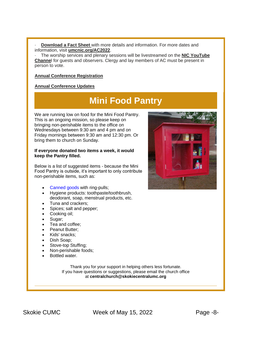· **[Download a Fact Sheet](https://r20.rs6.net/tn.jsp?f=001qgE8R-0rBclVHIkAUpoZ5C0BvVK_kzmNy1064t6a3XonwwN6COjQy_Ma2mkOizBLUATeBz98dtAQpb-FwedAWiEEypk20IbWR9K2m4PKooV6H6_uKlKZYrMeN1gU7Yi7jhb6YRwEITpazL3QvkLsXqHcmiCiGhwpFyLjcELwbb4VQOSBKo81b9ylEzGuaHuQcIBjBWV56cOI-Ws4rt0_srxgExPR-8smj7Nk6qdzXgGVXh-ZDcpeqdt9uqkxk3LOmDXW4rJEWbm_fQkE9ECmSU7kfQD-LXs9prs9pNxSTsxh7DQMh9ryvJic7e_UGpkIpIgHRcMkU2Ko6CUdzleIWNDLEtjRDUySUG9vFlSHSmlUKJIejmqsZvEmN9JCtE3It0SPUeLSJUheh0PMqZYRyApF9bko0I1CZ42-tz2SCqHMUrWd5JqCCKtqs7uMrQUL7sVrZVhXo9hxvdXvnG1t8ZLsz7qhmwEnyhRarMSRpBbDAwAg0cB_SK4m4dt79kQ0k_avvy69_mhOAKdxNKD35Jbp63IK8EyS5bTF3AkJhoYeeFG0YuDD1fk8FdfeeChnZuU3D3UfwbJrfyVAe7xEh1uH7pgunNMZvhZWsM0bfrDrkRWjU5tbNlNVDtfjeRdN2csP7WZuFGMKRCqyQfnhvqUFshLuIxGQjw6Bi-0IPjztht9j9cTk8N7EBUeOF2OhYTqs3l8nfpOtO_KSqnkM0ZIFnhlPp2QlMQ5t3MkpLnWXbyqVYZSafArKkWoymgoHiTfHWILd-XHCtZXYxvSoHxBg8ic3DFw_KqVp86A39F0Y5EH9MygcC6UtJHsKZFGTH4D7TQ7K5-8hhnOVkSk8QeBwVhlN0aVeKmPOfs_1m_vLFQLqy1dGjf6zDeNOH6m3Or2-7GxUlaqARiB2T1BvdmxtAiYSdixhWC2TmTZisSAp-AI5gr165J4h9_-fTQX5jE0W3rzlG3u_jl06FuldD2R8pfBud4ISgl7BjwJpECCUMkiLBYLPAsSplEEPSCBilj35M27LtOd5u9I220r1i5KbCNSzec8jJORqYyV6Gkf1N0RYldHRA_EILnXXO8IfCXeW1GymnnvPjn_HRZfJg4WTbd4ywHhbdXjyEV73vyYMluqFUf4hyDo6g1adRu6k0qZBcOKGNmxOOs3PpHnRLDqonX7QFrnUzj-HQIiUy6c0-0scPQDM7CZccrts0b-uCoGBVBm9inIyiqS6L4XHa5jfye4raajO&c=vrIqrezAcAYWUwuVWOEkcVrHWvcN8vnGHRxN9fLUNmVcDNqhgf_tKA==&ch=hfGIDPzS7TOQWFdOPUFymqO3NUcmF99VjRIHWaAQ7BeYkao-_ZegKw==)** with more details and information. For more dates and information, visit **[umcnic.org/AC2022](https://r20.rs6.net/tn.jsp?f=001qgE8R-0rBclVHIkAUpoZ5C0BvVK_kzmNy1064t6a3XonwwN6COjQy_Ma2mkOizBL94Vg90ze4QACD2QEfv6s0MNxC8Z0hr5cqQ8Av5cfKVgJUkWlmOv-Z_DGO5rp9E3aGMoYq2ECk3v1r1UZ5lL7QlgFxJi1uQeJ4wApWIYjTA17WjWiy8FluqM9IANg1rUrUM1j3X7-kwtQoQRmYWf3hskL4p8gLKmWjcI8nkz35rVqNhJxyCM_ZXw4jMoSyfdzhmy6_UPHx5fpsteZrPQaH504QMwMK65ztrlqdunGbiWak181Px2Ve4-73p0jZy1rVKG3VjKEoOeP4wtRZWrnvCiYd3KXBqBqz1kLJt8Q12bsNdLV0__0SHFc7C4ySTEt6QVuPs8Y8B5ekwDBQkgSimATcSlf5D9rP1yinVQjsNOkV4f2U5WU833hTtbzEnw9kATpJSSltWOtGgGF4LkkDKfQzK6rUX-9bkP9clybAusAFLgdv9ObA8g5Ao1ypKt1dFpiugYj-pSIDBOlMWjfkl9kNe68-1lDSeuZZpEYkl2DaQE8yG8jFvPdsgBO-IJZPNGItk0qHMy_9q--YRjHRb2WeLbKZ_v57T69VRKDlPNuOPlFouIzrNoRvaickmR1R7tw2nr4CiB_E7Hk-EG7v0oxNSR--YvbhmKPaa0VQ1TJnlcHWZoFaHRbqjEbW_vSYcfKZBT_wPQpWQ7KnAxupPzEsL2N2Vlvif4JCHTXv8A3YbgCVyHDxgaDVm6tQWROG4d9AwsVRxr9DnNxpwylY8rKClkyLWYWAypJ25WjPb0ipgury0lup4yLXQw7i3YP5NYP8KURPxFGjD11iiCQsbUGztzv7VPtkY5XwlGiV1QImK4MAQ4AK5QhiQgIJm7pHrPqun9DpvqnyiwlXPsNqxdKxgZj1VLLjde9C1EYz2qAi7Sr22i70OFCdo7gHKdZ4T8dE6zeERobROjuyx8vMeEbw21KB_xF70YkaS3Izf7Heunkxm2VhAih9Itnq-0AmNzODIyJRcHbfH9EEFspefH89TA_Gf8S6aHMolBGAeX4noXpS0ZfcjTZOk8iFRpGUiNRrIawLK2J26WpGkYiryn9T7ZkWS3tj2P1LoFqxDk=&c=vrIqrezAcAYWUwuVWOEkcVrHWvcN8vnGHRxN9fLUNmVcDNqhgf_tKA==&ch=hfGIDPzS7TOQWFdOPUFymqO3NUcmF99VjRIHWaAQ7BeYkao-_ZegKw==)**.

· The worship services and plenary sessions will be livestreamed on the **[NIC YouTube](https://r20.rs6.net/tn.jsp?f=001qgE8R-0rBclVHIkAUpoZ5C0BvVK_kzmNy1064t6a3XonwwN6COjQy_Ma2mkOizBLETUagVXz9pxCi3oKb3EQ04EyjX2u326CgWiTB7ZI-1_wDaYTuhktSA2URqmibFhy3CV57GvXfWjsrE6rgOivreny19dEVhZ5hD1eQ1HK5luNsqcy_EN759oWJjp1DJ6KgC1Unpdn5T_kIeVN1_4sn1YkZkWA4aRFtHdjivcKrxb9PoD4pOZZxa4zt7PpKfPRBXe1HGjEr7n1ezzpI8QT_LHT749qUsR7CYNUgJXMyf9JgXpSHtb4I4u-fTCf1phaWDzYLTx8092UEKiKpo4ebC7CY3NZxYWRx3oeSbkEccgrCBY_juQLbsg7wT_LLXVA6mpVRMggo-t9K0JcSnmCYh4bBizxpL0NVgnFqSxMLyWh2qievWPxlIq1og2b7OjtESDBHMV0CZnM8x_wSIqFZ1aRoQGO_ELJpCUpK5-g9P1piEMxOUOQVkG-lomTCDEtu7tmpjVY9CMcV43P21tY7SY-dFYisEdj0JnMrj9ycbF7tQMt48AuT6ixxcnLCnQ4SoGio1fu8I4qSrcDGL2Gwci1-NG0q9raXG2kJC7SZkV0wvQNFvkLzgO9m8ent2_ZZiPUaNbIyiO1TlRBgXcjNn-Ahyh5EEk86Aa_mRIeH_DLJ6kKNPktjV7wHJ0chf42W8bX5a42rMzOUYLDdRjIIRqRspfh26lurQ8CT1VZc88Ehi5iSRXfjHIzuDdvHe6y-VCUOR50jK-Dst-0np3EmeDZEsecLEwIxEoGESgu1QAmjROG9aHDxBBZscLnpy9b4hh-vNj66KzWQG9UpTADCJy-tE_GyXGzKoUPnwWCvQkg29Iu29u_4U74rvJrofx4Pn8INeT54fVt14-m07YdZsmHqrMKKSWwoDigSi9SMot6cj4QCBuxWyd0vuyxevN9-qCE5l0vTzrvdO2GJ6J90siRUjrAOLVwDBs0AQt7gmtawtZAXoH1Db09CciN_KPew0c7ooMAEcelWDRi2JoFit7RNNuGgzMVnjkU8LwkGEMAh3pIg9Wtx_qIyNbDp7tY6EhzSogTZusglEqAAzDvkBParqFXVhgvrclsyUSjHrm1yHZhICBZmKWGxOjLAvMPTo7R9GtBbDoJsNF5cHFsGVr2Qu9mg7omZ32MiRqxPSk=&c=vrIqrezAcAYWUwuVWOEkcVrHWvcN8vnGHRxN9fLUNmVcDNqhgf_tKA==&ch=hfGIDPzS7TOQWFdOPUFymqO3NUcmF99VjRIHWaAQ7BeYkao-_ZegKw==) [Channe](https://r20.rs6.net/tn.jsp?f=001qgE8R-0rBclVHIkAUpoZ5C0BvVK_kzmNy1064t6a3XonwwN6COjQy_Ma2mkOizBLETUagVXz9pxCi3oKb3EQ04EyjX2u326CgWiTB7ZI-1_wDaYTuhktSA2URqmibFhy3CV57GvXfWjsrE6rgOivreny19dEVhZ5hD1eQ1HK5luNsqcy_EN759oWJjp1DJ6KgC1Unpdn5T_kIeVN1_4sn1YkZkWA4aRFtHdjivcKrxb9PoD4pOZZxa4zt7PpKfPRBXe1HGjEr7n1ezzpI8QT_LHT749qUsR7CYNUgJXMyf9JgXpSHtb4I4u-fTCf1phaWDzYLTx8092UEKiKpo4ebC7CY3NZxYWRx3oeSbkEccgrCBY_juQLbsg7wT_LLXVA6mpVRMggo-t9K0JcSnmCYh4bBizxpL0NVgnFqSxMLyWh2qievWPxlIq1og2b7OjtESDBHMV0CZnM8x_wSIqFZ1aRoQGO_ELJpCUpK5-g9P1piEMxOUOQVkG-lomTCDEtu7tmpjVY9CMcV43P21tY7SY-dFYisEdj0JnMrj9ycbF7tQMt48AuT6ixxcnLCnQ4SoGio1fu8I4qSrcDGL2Gwci1-NG0q9raXG2kJC7SZkV0wvQNFvkLzgO9m8ent2_ZZiPUaNbIyiO1TlRBgXcjNn-Ahyh5EEk86Aa_mRIeH_DLJ6kKNPktjV7wHJ0chf42W8bX5a42rMzOUYLDdRjIIRqRspfh26lurQ8CT1VZc88Ehi5iSRXfjHIzuDdvHe6y-VCUOR50jK-Dst-0np3EmeDZEsecLEwIxEoGESgu1QAmjROG9aHDxBBZscLnpy9b4hh-vNj66KzWQG9UpTADCJy-tE_GyXGzKoUPnwWCvQkg29Iu29u_4U74rvJrofx4Pn8INeT54fVt14-m07YdZsmHqrMKKSWwoDigSi9SMot6cj4QCBuxWyd0vuyxevN9-qCE5l0vTzrvdO2GJ6J90siRUjrAOLVwDBs0AQt7gmtawtZAXoH1Db09CciN_KPew0c7ooMAEcelWDRi2JoFit7RNNuGgzMVnjkU8LwkGEMAh3pIg9Wtx_qIyNbDp7tY6EhzSogTZusglEqAAzDvkBParqFXVhgvrclsyUSjHrm1yHZhICBZmKWGxOjLAvMPTo7R9GtBbDoJsNF5cHFsGVr2Qu9mg7omZ32MiRqxPSk=&c=vrIqrezAcAYWUwuVWOEkcVrHWvcN8vnGHRxN9fLUNmVcDNqhgf_tKA==&ch=hfGIDPzS7TOQWFdOPUFymqO3NUcmF99VjRIHWaAQ7BeYkao-_ZegKw==)**l for guests and observers. Clergy and lay members of AC must be present in person to vote.

#### **[Annual Conference Registration](https://r20.rs6.net/tn.jsp?f=001qgE8R-0rBclVHIkAUpoZ5C0BvVK_kzmNy1064t6a3XonwwN6COjQy_Ma2mkOizBLNQpoiKb4Z6ZeRUEp9W94PgZ192leUR1Rt75kgQsjaiRSWsS-DEK0lRl-KuXkJ1vsWKxJ3I4qVXRStBJDFYtAyONsaf_2RtjrKp_-MRzhAL5jZkXf_osDuHp8mjexyp1SAj-a7AjLU0TZqPBbQt2spV96tBKIc1ziynWrh86YHl8BsICW_f6U7Jo9AIae6wmQ1E6EveAQ5X-1HiIRaJMIdrmtI4FDWqC8-tl_RpOQ4KM9tyKUEbmfTYvX_b71CWE7vBMx-RNmgm6YDsac-Eei6Ai2EtjgAluepPMux1PcbViTMoRAmpp5CZpJ-TyHFyhjoN76V77Mn56qyyCd7G3BHtc3MXLBae1f8COCMCtv72Oq1tpL94IDggkmga9d50g7hAre97fAz9UaqKTl5QektXXeL3RpcQGCdb8lVJc4ydfjw95zfTLF1YAsS0ELrXQoyF7ikXa1IicxNvskV6bffKSM4vyohRxdO-fV6w9b3wDYNr7wXk31OlmmfVNA75Qvr0M2ShkM6KK2X591I9ABxTWSylGCJVa42J8Srp4V6caXLhxNF7I9_ZP5gM8sURiHfS2LcNY3aosMrgipUWbXZGT3FbYG2n0vGgv2RsP05ztJHFTvYcu6L8Nja-Lqy6zEZrAU0FxMqooWsWF3hxukJiM3Dy6nuI7_Ul35D_ndP0AbfsvU74CjqfEZsQLYdxDenw2U9GhAxM4vEWJK8YU3VvhIX_qke7K_Ziq7JJwLP_P_jt_YJYBmkqO-uiNXPtP3PImuIg-FThwHPjM9aS2OVHojw4vA8-7wRoZGMCayKOjU0_MnuleKgEKR0OHx0Afp2IMB11dIeQtLLFzk7Sc-wsfMXrquheeFCpcuYiElICMyd1O5QCnrGJ2X499rbRByosFN8F5OtTFIYidtjNo4Wh7SoVql65AIOiXpKH-nWT3HjXfpFTJXGG83lgYQQDpjrNVPF2p75RvOGPw5eKNOdLxHxt0IDpHnfanMruNYm7L10ed-6Q-zjkZQM6sPaxPi8i3Ku27q95Y_aelLqGV0Xy0tqLMULD_t&c=vrIqrezAcAYWUwuVWOEkcVrHWvcN8vnGHRxN9fLUNmVcDNqhgf_tKA==&ch=hfGIDPzS7TOQWFdOPUFymqO3NUcmF99VjRIHWaAQ7BeYkao-_ZegKw==)**

#### **[Annual Conference Updates](https://r20.rs6.net/tn.jsp?f=001qgE8R-0rBclVHIkAUpoZ5C0BvVK_kzmNy1064t6a3XonwwN6COjQy_Ma2mkOizBLQBUGq_6VYzlim4pggI9Nv4kHho62WS1maDFvlzZPQyM9Fm6xEJx39VF2Kv0RC6tg7n8QvKsfCvi2CQpBK3nO8TD3_D2KLVz4UO3NQyQALMIgbQEkMTRiPuevMrm0231Ib3d1VN2H3JihVd-ZZtKaW8NgbhkiJpSuuw94f9jrx6TwOx_vl9lVQdf-nLNFSbILCdlAR4S1kgIACLFUW9AMWSnbz88Ua8yX41HFoc06Im9DPqVE2g12N_UWWYX8YFCpTnQR5fMvZjYCJT8j5W1x6-XnzAW5ZD5HtBUGn7mAsMNmyzFHt3yC0Dv9aH8rTw3YnMIHzXQVaWjXxiqAwJ249QFT5XgS0SkZf4NOKjBlrOLr3m7TIzNPF7UfmlTBNHWiOZg9_YY35ENTyzNB4jiRUncZ8eq1ORMLQbjkFM5usDVW4sTtR_ViufGAowD356tTUZpmTDoM89ghcLSoZEpn2xX-6RBvqV18wuOrILFdVwbuUtKf6vAbHQm18FWzsp83pdO9kgthoon5YJ6Mp2A88Te2GXIN1q8GpOrdUflWw5hyGHLmMpKhjodm2uopLGpQYH0GVMTFUpKFBqiP0K4qciS-AM0dD4o2ZKVlYXScwR9akgGYseKSAFZKVUX0yV_KTJ1IlIY5dHu5LxoLRTuNAq8dhu9cwmrBqhLcuNse3vrrewAHq0ipnYqR0qXRwJd6n4U-GiiGoWA5yQWvRUg_mNOC0azAJ4SQzHSSHrSQzqO3EdxrDB9WxPxah8632-2pVZfUgKdcZWEjKKLUJyZFJixuRf45FJLr9KEjE6NlP9jkqI7HGrALGhzqXHHoypjgjvb5c8UrKu4Dk8n7L593-Kf3AhpYeYB1dTS6C1cqdzxku8QirDWlhLi70IKQih06_9CHJEDNq875MlDOpdZtNpwDZI9SzzkMIr-VjlWSni6FoDVxb46uLcY4XEiDmQMq3AeOTlkQcqansa094FPtRgMLt00Dim3C7CBmVdRsKdmx-7iB7Q8PWRJT57Al2v7SAqBBC9pmYzDk6z_bb7K9gq1HrIMu0jBW&c=vrIqrezAcAYWUwuVWOEkcVrHWvcN8vnGHRxN9fLUNmVcDNqhgf_tKA==&ch=hfGIDPzS7TOQWFdOPUFymqO3NUcmF99VjRIHWaAQ7BeYkao-_ZegKw==)**

## **Mini Food Pantry**

We are running low on food for the Mini Food Pantry. This is an ongoing mission, so please keep on bringing non-perishable items to the office on Wednesdays between 9:30 am and 4 pm and on Friday mornings between 9:30 am and 12:30 pm. Or bring them to church on Sunday.

#### **If everyone donated two items a week, it would keep the Pantry filled.**

Below is a list of suggested items - because the Mini Food Pantry is outside, it's important to only contribute non-perishable items, such as:

- [Canned goods](https://r20.rs6.net/tn.jsp?f=001qgE8R-0rBclVHIkAUpoZ5C0BvVK_kzmNy1064t6a3XonwwN6COjQy54NFeq2KIxswl8shgvFwq6dtMMBIDcxr0nvKJXfqBwJJGHYLip0jon_8uUtmXFb2KJMFx8yML6OFprU65YnMeX6VYDwtrpn8tBjThuKCn6K3VF16Dm-AoWVA-FHITENvYF-o4iCzh4hignX1KCjUVjFKABXuZTpMdKDcuYxsFtawDjZo_Rw_l8=&c=vrIqrezAcAYWUwuVWOEkcVrHWvcN8vnGHRxN9fLUNmVcDNqhgf_tKA==&ch=hfGIDPzS7TOQWFdOPUFymqO3NUcmF99VjRIHWaAQ7BeYkao-_ZegKw==) with ring-pulls;
- Hygiene products: toothpaste/toothbrush, deodorant, soap, menstrual products, etc.
- Tuna and crackers;
- Spices; salt and pepper;
- Cooking oil;
- Sugar;
- Tea and coffee;
- Peanut Butter:
- Kids' snacks;
- Dish Soap;
- Stove-top Stuffing;
- Non-perishable foods;
- Bottled water.

Thank you for your support in helping others less fortunate. If you have questions or suggestions, please email the church office at **[centralchurch@skokiecentralumc.org](mailto:centralchurch@skokiecentralumc.org)**